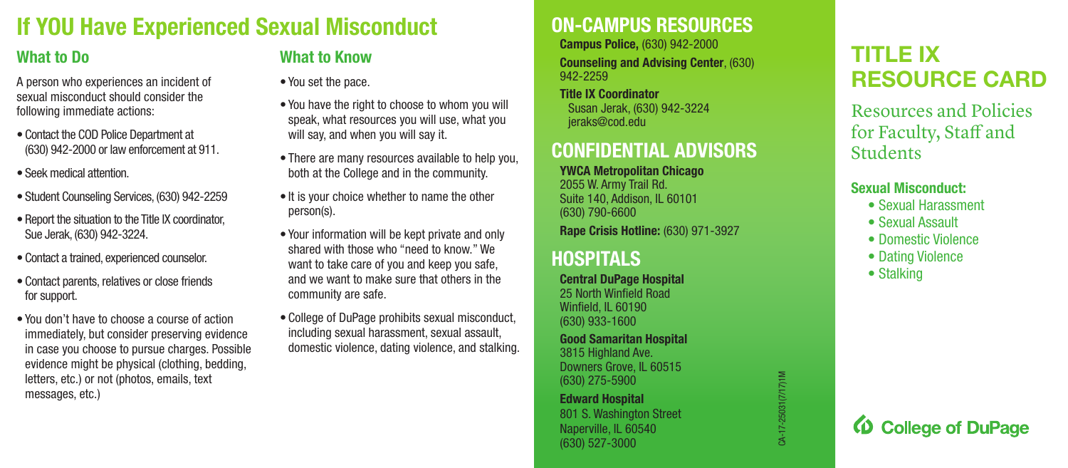## **If YOU Have Experienced Sexual Misconduct**

## **What to Do**

A person who experiences an incident of sexual misconduct should consider the following immediate actions:

- Contact the COD Police Department at (630) 942-2000 or law enforcement at 911.
- Seek medical attention.
- Student Counseling Services, (630) 942-2259
- Report the situation to the Title IX coordinator, Sue Jerak, (630) 942-3224.
- Contact a trained, experienced counselor.
- Contact parents, relatives or close friends for support.
- You don't have to choose a course of action immediately, but consider preserving evidence in case you choose to pursue charges. Possible evidence might be physical (clothing, bedding, letters, etc.) or not (photos, emails, text messages, etc.)

## **What to Know**

- You set the pace.
- You have the right to choose to whom you will speak, what resources you will use, what you will say, and when you will say it.
- There are many resources available to help you, both at the College and in the community.
- It is your choice whether to name the other person(s).
- Your information will be kept private and only shared with those who "need to know." We want to take care of you and keep you safe, and we want to make sure that others in the community are safe.
- College of DuPage prohibits sexual misconduct, including sexual harassment, sexual assault, domestic violence, dating violence, and stalking.

## **ON-CAMPUS RESOURCES**

**Campus Police,** (630) 942-2000 **Counseling and Advising Center**, (630) 942-2259

**Title IX Coordinator**  Susan Jerak, (630) 942-3224 jeraks@cod.edu

## **CONFIDENTIAL ADVISORS**

**YWCA Metropolitan Chicago**  2055 W. Army Trail Rd. Suite 140, Addison, IL 60101 (630) 790-6600 **Rape Crisis Hotline:** (630) 971-3927

## **HOSPITALS**

**Central DuPage Hospital**  25 North Winfeld Road Winfield, IL 60190 (630) 933-1600

**Good Samaritan Hospital**  3815 Highland Ave. Downers Grove, IL 60515 (630) 275-5900

**Edward Hospital**  801 S. Washington Street Naperville, IL 60540 (630) 527-3000

# CA-17-25031(7/17)1M CA-17-25031(7/17)1M

## **TITLE IX RESOURCE CARD**

Resources and Policies for Faculty, Staff and **Students** 

#### **Sexual Misconduct:**

- Sexual Harassment
- Sexual Assault
- Domestic Violence
- Dating Violence
- Stalking

**D** College of DuPage